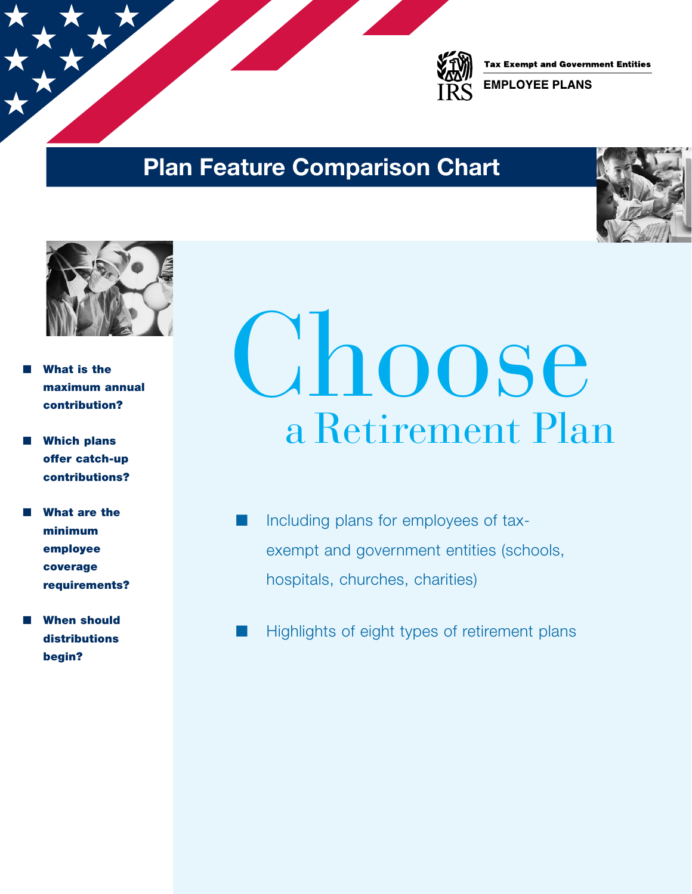

**Tax Exempt and Government Entities** 

**EMPLOYEE PLANS** 

### Plan Feature Comparison Chart





- What is the maximum annual contribution?
- **Which plans** offer catch-up contributions?
- What are the minimum employee coverage requirements?
- **When should** distributions begin?

# ahoose a Retirement Plan

- Including plans for employees of taxexempt and government entities (schools, hospitals, churches, charities)
- Highlights of eight types of retirement plans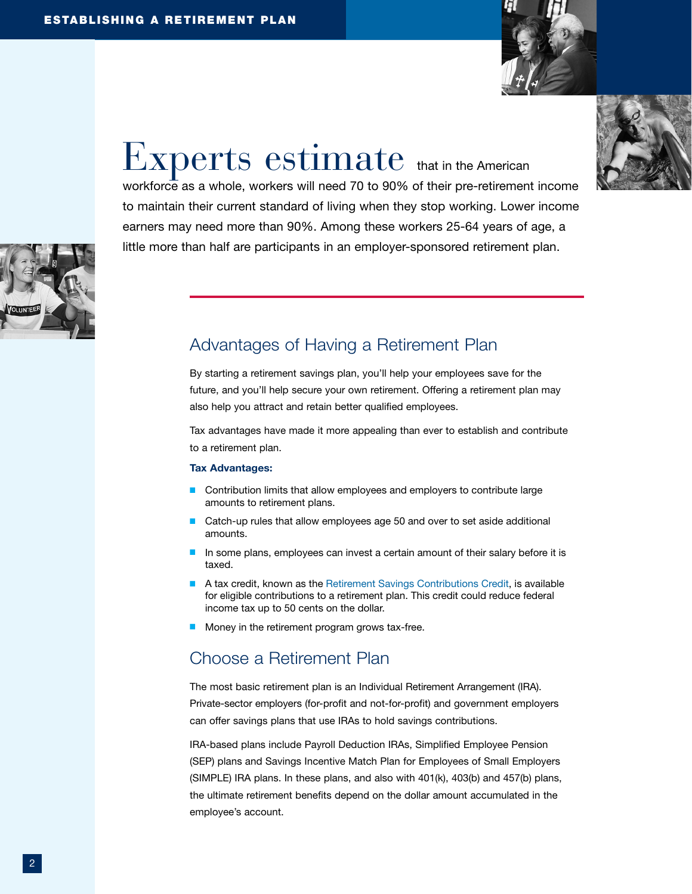

# $EXPerts$   $estimate$  that in the American

workforce as a whole, workers will need 70 to 90% of their pre-retirement income to maintain their current standard of living when they stop working. Lower income earners may need more than 90%. Among these workers 25-64 years of age, a little more than half are participants in an employer-sponsored retirement plan.



### Advantages of Having a Retirement Plan,

By starting a retirement savings plan, you'll help your employees save for the future, and you'll help secure your own retirement. Offering a retirement plan may also help you attract and retain better qualified employees.

Tax advantages have made it more appealing than ever to establish and contribute to a retirement plan.

#### Tax Advantages:

- Contribution limits that allow employees and employers to contribute large amounts to retirement plans.
- Catch-up rules that allow employees age 50 and over to set aside additional amounts.
- In some plans, employees can invest a certain amount of their salary before it is taxed.
- A tax credit, known as the [Retirement Savings Contributions Credit](https://www.irs.gov/retirement-plans/plan-participant-employee/retirement-savings-contributions-savers-credit), is available for eligible contributions to a retirement plan. This credit could reduce federal income tax up to 50 cents on the dollar.
- Money in the retirement program grows tax-free.

### Choose a Retirement Plan,

The most basic retirement plan is an Individual Retirement Arrangement (IRA). Private-sector employers (for-profit and not-for-profit) and government employers can offer savings plans that use IRAs to hold savings contributions.

IRA-based plans include Payroll Deduction IRAs, Simplified Employee Pension (SEP) plans and Savings Incentive Match Plan for Employees of Small Employers (SIMPLE) IRA plans. In these plans, and also with 401(k), 403(b) and 457(b) plans, the ultimate retirement benefits depend on the dollar amount accumulated in the employee's account.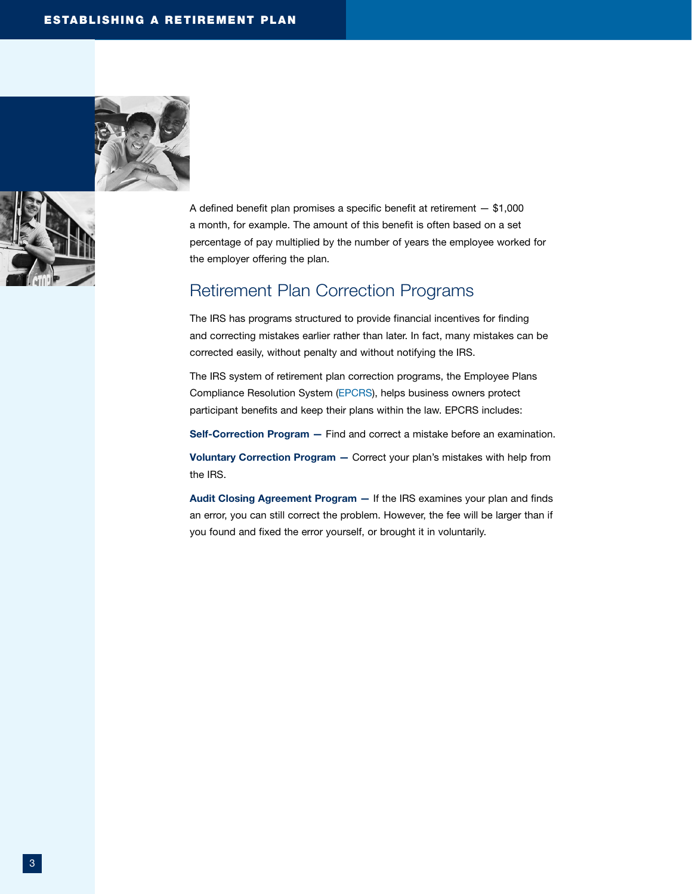



A defined benefit plan promises a specific benefit at retirement — \$1,000 a month, for example. The amount of this benefit is often based on a set percentage of pay multiplied by the number of years the employee worked for the employer offering the plan.

### Retirement Plan Correction Programs

The IRS has programs structured to provide financial incentives for finding and correcting mistakes earlier rather than later. In fact, many mistakes can be corrected easily, without penalty and without notifying the IRS.

The IRS system of retirement plan correction programs, the Employee Plans Compliance Resolution System ([EPCRS](https://www.irs.gov/retirement-plans/epcrs-overview)), helps business owners protect participant benefits and keep their plans within the law. EPCRS includes:

Self-Correction Program - Find and correct a mistake before an examination.

Voluntary Correction Program — Correct your plan's mistakes with help from the IRS.

Audit Closing Agreement Program — If the IRS examines your plan and finds an error, you can still correct the problem. However, the fee will be larger than if you found and fixed the error yourself, or brought it in voluntarily.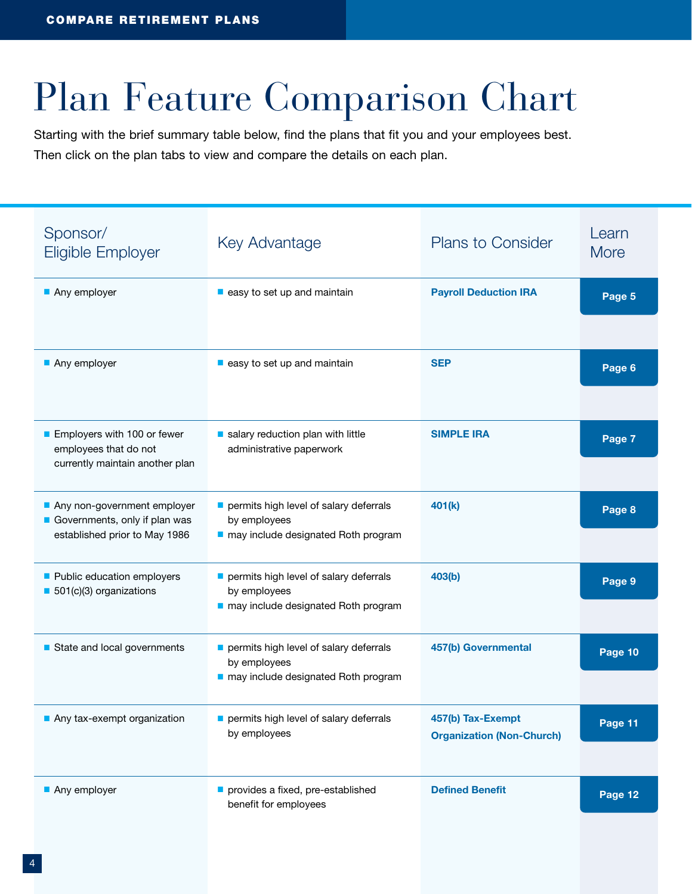# Plan Feature Comparison Chart

Starting with the brief summary table below, find the plans that fit you and your employees best. Then click on the plan tabs to view and compare the details on each plan.

| Sponsor/<br>Eligible Employer                                                                 | Key Advantage                                                                                 | <b>Plans to Consider</b>                              | Learn<br><b>More</b> |
|-----------------------------------------------------------------------------------------------|-----------------------------------------------------------------------------------------------|-------------------------------------------------------|----------------------|
| Any employer                                                                                  | easy to set up and maintain                                                                   | <b>Payroll Deduction IRA</b>                          | Page 5               |
| Any employer                                                                                  | $\blacksquare$ easy to set up and maintain                                                    | <b>SEP</b>                                            | Page 6               |
| Employers with 100 or fewer<br>employees that do not<br>currently maintain another plan       | salary reduction plan with little<br>administrative paperwork                                 | <b>SIMPLE IRA</b>                                     | Page 7               |
| Any non-government employer<br>Governments, only if plan was<br>established prior to May 1986 | permits high level of salary deferrals<br>by employees<br>may include designated Roth program | 401(k)                                                | Page 8               |
| Public education employers<br>501(c)(3) organizations                                         | permits high level of salary deferrals<br>by employees<br>may include designated Roth program | 403(b)                                                | Page 9               |
| State and local governments                                                                   | permits high level of salary deferrals<br>by employees<br>may include designated Roth program | 457(b) Governmental                                   | Page 10              |
| Any tax-exempt organization                                                                   | permits high level of salary deferrals<br>by employees                                        | 457(b) Tax-Exempt<br><b>Organization (Non-Church)</b> | Page 11              |
| Any employer                                                                                  | provides a fixed, pre-established<br>benefit for employees                                    | <b>Defined Benefit</b>                                | Page 12              |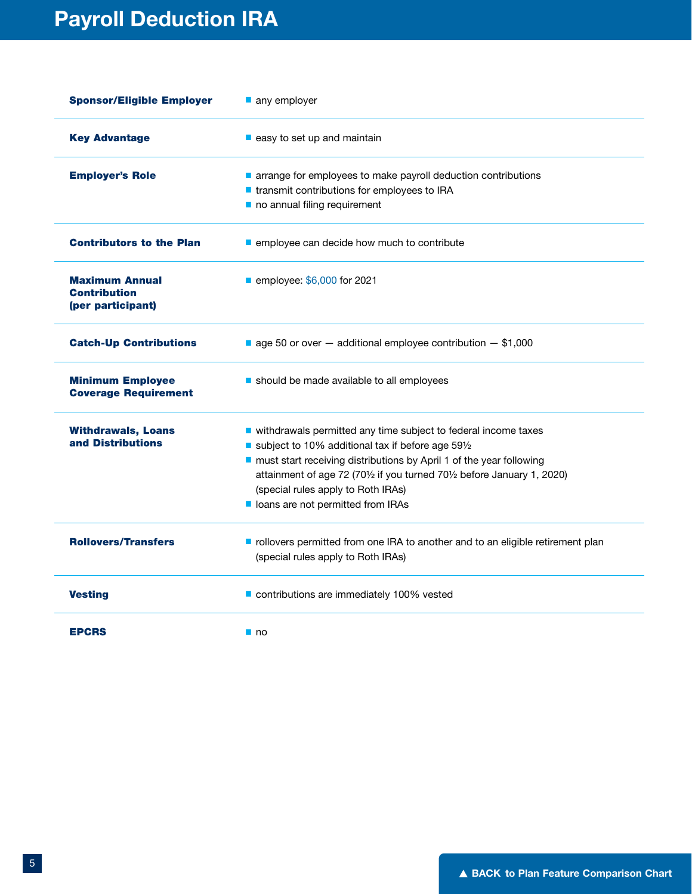| <b>Sponsor/Eligible Employer</b>                                  | any employer                                                                                                         |
|-------------------------------------------------------------------|----------------------------------------------------------------------------------------------------------------------|
| <b>Key Advantage</b>                                              | $\blacksquare$ easy to set up and maintain                                                                           |
| <b>Employer's Role</b>                                            | arrange for employees to make payroll deduction contributions                                                        |
|                                                                   | ■ transmit contributions for employees to IRA                                                                        |
|                                                                   | no annual filing requirement                                                                                         |
| <b>Contributors to the Plan</b>                                   | employee can decide how much to contribute                                                                           |
| <b>Maximum Annual</b><br><b>Contribution</b><br>(per participant) | ■ employee: \$6,000 for 2021                                                                                         |
| <b>Catch-Up Contributions</b>                                     | $\blacksquare$ age 50 or over $-$ additional employee contribution $-$ \$1,000                                       |
| <b>Minimum Employee</b><br><b>Coverage Requirement</b>            | should be made available to all employees                                                                            |
| <b>Withdrawals, Loans</b>                                         | ■ withdrawals permitted any time subject to federal income taxes                                                     |
| and Distributions                                                 | subject to 10% additional tax if before age 591/2                                                                    |
|                                                                   | must start receiving distributions by April 1 of the year following                                                  |
|                                                                   | attainment of age 72 (701/2 if you turned 701/2 before January 1, 2020)                                              |
|                                                                   | (special rules apply to Roth IRAs)                                                                                   |
|                                                                   | loans are not permitted from IRAs                                                                                    |
| <b>Rollovers/Transfers</b>                                        | rollovers permitted from one IRA to another and to an eligible retirement plan<br>(special rules apply to Roth IRAs) |
| <b>Vesting</b>                                                    | contributions are immediately 100% vested                                                                            |
| <b>EPCRS</b>                                                      | $\blacksquare$ no                                                                                                    |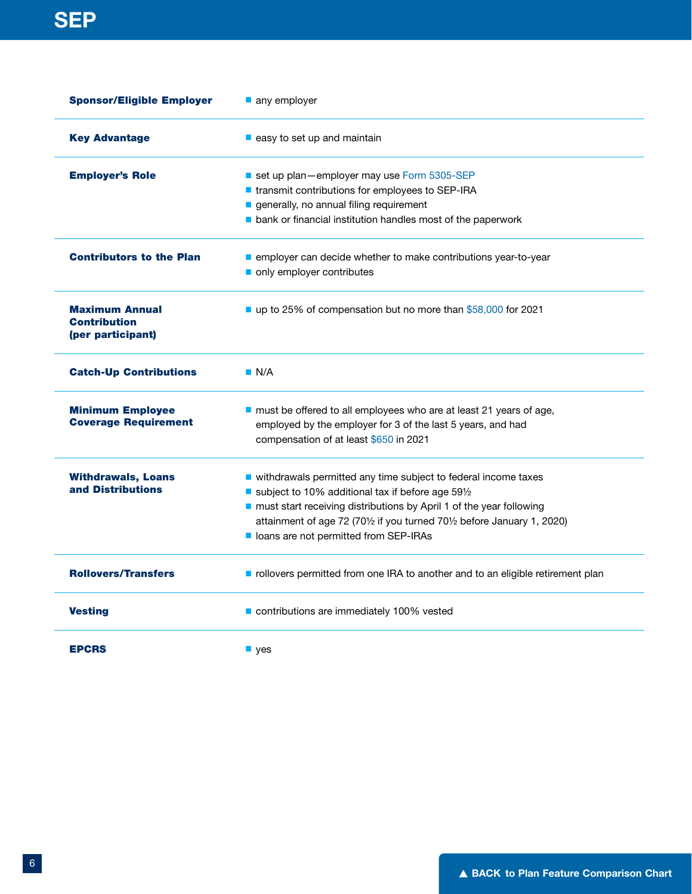| <b>Sponsor/Eligible Employer</b>                                  | any employer<br>$\blacksquare$ easy to set up and maintain                     |  |
|-------------------------------------------------------------------|--------------------------------------------------------------------------------|--|
| <b>Key Advantage</b>                                              |                                                                                |  |
| <b>Employer's Role</b>                                            | set up plan-employer may use Form 5305-SEP                                     |  |
|                                                                   | ■ transmit contributions for employees to SEP-IRA                              |  |
|                                                                   | generally, no annual filing requirement                                        |  |
|                                                                   | bank or financial institution handles most of the paperwork                    |  |
| <b>Contributors to the Plan</b>                                   | employer can decide whether to make contributions year-to-year                 |  |
|                                                                   | only employer contributes                                                      |  |
| <b>Maximum Annual</b><br><b>Contribution</b><br>(per participant) | up to 25% of compensation but no more than \$58,000 for 2021                   |  |
| <b>Catch-Up Contributions</b>                                     | $\blacksquare$ N/A                                                             |  |
| <b>Minimum Employee</b>                                           | must be offered to all employees who are at least 21 years of age,             |  |
| <b>Coverage Requirement</b>                                       | employed by the employer for 3 of the last 5 years, and had                    |  |
|                                                                   | compensation of at least \$650 in 2021                                         |  |
| <b>Withdrawals, Loans</b>                                         | ■ withdrawals permitted any time subject to federal income taxes               |  |
| and Distributions                                                 | subject to 10% additional tax if before age 591/2                              |  |
|                                                                   | must start receiving distributions by April 1 of the year following            |  |
|                                                                   | attainment of age 72 (701/2 if you turned 701/2 before January 1, 2020)        |  |
|                                                                   | loans are not permitted from SEP-IRAs                                          |  |
| <b>Rollovers/Transfers</b>                                        | rollovers permitted from one IRA to another and to an eligible retirement plan |  |
| <b>Vesting</b>                                                    | contributions are immediately 100% vested                                      |  |
| <b>EPCRS</b>                                                      | $\blacksquare$ yes                                                             |  |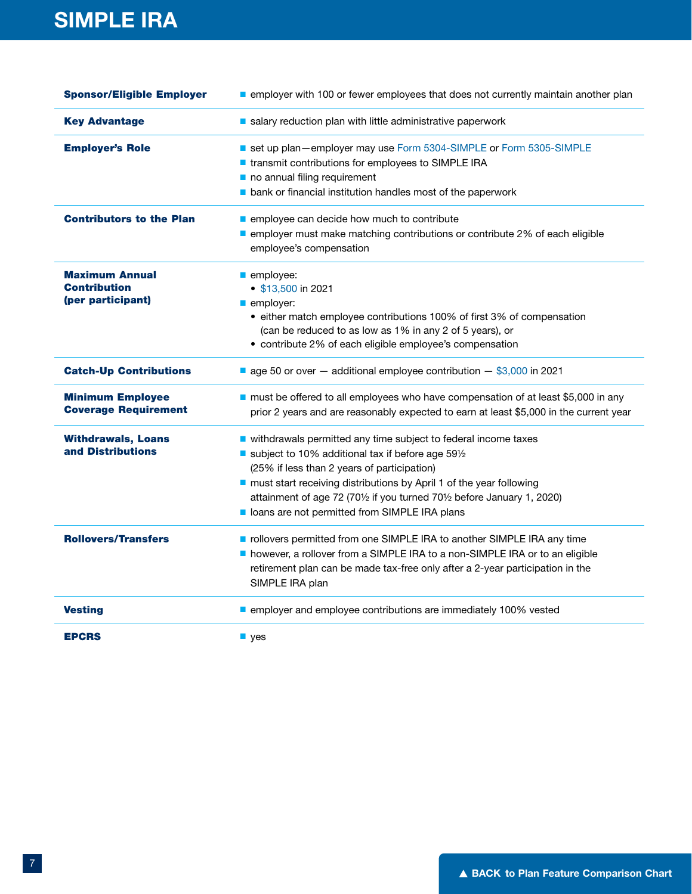| <b>Sponsor/Eligible Employer</b>                                  | employer with 100 or fewer employees that does not currently maintain another plan                                                                                                                                                                                                                                                                                    |
|-------------------------------------------------------------------|-----------------------------------------------------------------------------------------------------------------------------------------------------------------------------------------------------------------------------------------------------------------------------------------------------------------------------------------------------------------------|
| <b>Key Advantage</b>                                              | salary reduction plan with little administrative paperwork                                                                                                                                                                                                                                                                                                            |
| <b>Employer's Role</b>                                            | set up plan-employer may use Form 5304-SIMPLE or Form 5305-SIMPLE<br>■ transmit contributions for employees to SIMPLE IRA<br>no annual filing requirement<br>bank or financial institution handles most of the paperwork                                                                                                                                              |
| <b>Contributors to the Plan</b>                                   | employee can decide how much to contribute<br>employer must make matching contributions or contribute 2% of each eligible<br>employee's compensation                                                                                                                                                                                                                  |
| <b>Maximum Annual</b><br><b>Contribution</b><br>(per participant) | employee:<br>• \$13,500 in 2021<br>employer:<br>• either match employee contributions 100% of first 3% of compensation<br>(can be reduced to as low as 1% in any 2 of 5 years), or<br>• contribute 2% of each eligible employee's compensation                                                                                                                        |
| <b>Catch-Up Contributions</b>                                     | ■ age 50 or over $-$ additional employee contribution $-$ \$3,000 in 2021                                                                                                                                                                                                                                                                                             |
| <b>Minimum Employee</b><br><b>Coverage Requirement</b>            | must be offered to all employees who have compensation of at least \$5,000 in any<br>prior 2 years and are reasonably expected to earn at least \$5,000 in the current year                                                                                                                                                                                           |
| <b>Withdrawals, Loans</b><br>and Distributions                    | vithdrawals permitted any time subject to federal income taxes<br>subject to 10% additional tax if before age 591/2<br>(25% if less than 2 years of participation)<br>must start receiving distributions by April 1 of the year following<br>attainment of age 72 (701/2 if you turned 701/2 before January 1, 2020)<br>loans are not permitted from SIMPLE IRA plans |
| <b>Rollovers/Transfers</b>                                        | rollovers permitted from one SIMPLE IRA to another SIMPLE IRA any time<br>however, a rollover from a SIMPLE IRA to a non-SIMPLE IRA or to an eligible<br>retirement plan can be made tax-free only after a 2-year participation in the<br>SIMPLE IRA plan                                                                                                             |
| <b>Vesting</b>                                                    | employer and employee contributions are immediately 100% vested                                                                                                                                                                                                                                                                                                       |
| <b>EPCRS</b>                                                      | $\blacksquare$ yes                                                                                                                                                                                                                                                                                                                                                    |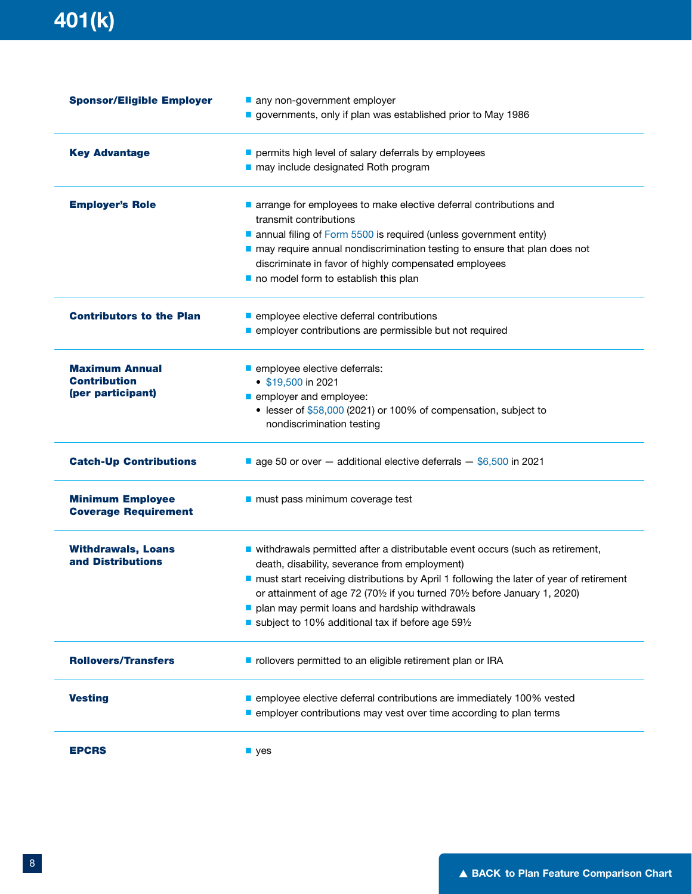## 401(k)

| <b>Sponsor/Eligible Employer</b>                       | any non-government employer<br>governments, only if plan was established prior to May 1986    |
|--------------------------------------------------------|-----------------------------------------------------------------------------------------------|
| <b>Key Advantage</b>                                   | permits high level of salary deferrals by employees                                           |
|                                                        | may include designated Roth program                                                           |
| <b>Employer's Role</b>                                 | arrange for employees to make elective deferral contributions and                             |
|                                                        | transmit contributions                                                                        |
|                                                        | annual filing of Form 5500 is required (unless government entity)                             |
|                                                        | nay require annual nondiscrimination testing to ensure that plan does not                     |
|                                                        | discriminate in favor of highly compensated employees<br>no model form to establish this plan |
|                                                        |                                                                                               |
| <b>Contributors to the Plan</b>                        | employee elective deferral contributions                                                      |
|                                                        | employer contributions are permissible but not required                                       |
| <b>Maximum Annual</b>                                  | employee elective deferrals:                                                                  |
| <b>Contribution</b>                                    | $\bullet$ \$19,500 in 2021                                                                    |
| (per participant)                                      | employer and employee:                                                                        |
|                                                        | • lesser of \$58,000 (2021) or 100% of compensation, subject to                               |
|                                                        | nondiscrimination testing                                                                     |
| <b>Catch-Up Contributions</b>                          | ■ age 50 or over - additional elective deferrals - \$6,500 in 2021                            |
| <b>Minimum Employee</b><br><b>Coverage Requirement</b> | must pass minimum coverage test                                                               |
| <b>Withdrawals, Loans</b>                              | ■ withdrawals permitted after a distributable event occurs (such as retirement,               |
| and Distributions                                      | death, disability, severance from employment)                                                 |
|                                                        | nust start receiving distributions by April 1 following the later of year of retirement       |
|                                                        | or attainment of age 72 (701/2 if you turned 701/2 before January 1, 2020)                    |
|                                                        | plan may permit loans and hardship withdrawals                                                |
|                                                        | subject to 10% additional tax if before age 591/2                                             |
| <b>Rollovers/Transfers</b>                             | rollovers permitted to an eligible retirement plan or IRA                                     |
| <b>Vesting</b>                                         | employee elective deferral contributions are immediately 100% vested                          |
|                                                        | employer contributions may vest over time according to plan terms                             |
| <b>EPCRS</b>                                           | $\blacksquare$ yes                                                                            |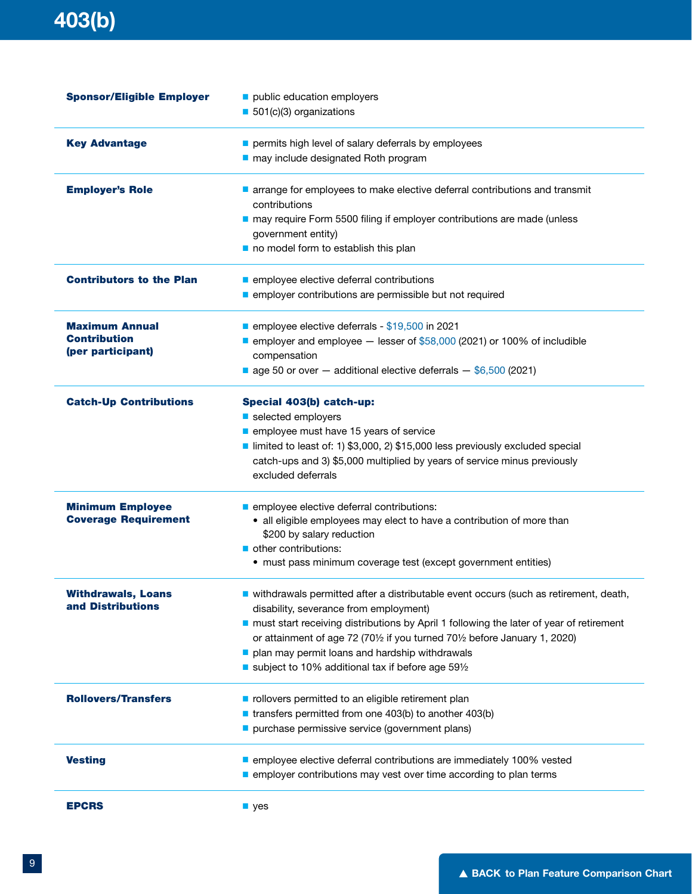| <b>Sponsor/Eligible Employer</b> | public education employers<br>501(c)(3) organizations                                               |
|----------------------------------|-----------------------------------------------------------------------------------------------------|
| <b>Key Advantage</b>             | permits high level of salary deferrals by employees<br>may include designated Roth program          |
| <b>Employer's Role</b>           | arrange for employees to make elective deferral contributions and transmit                          |
|                                  | contributions                                                                                       |
|                                  | may require Form 5500 filing if employer contributions are made (unless                             |
|                                  | government entity)                                                                                  |
|                                  | no model form to establish this plan                                                                |
| <b>Contributors to the Plan</b>  | employee elective deferral contributions                                                            |
|                                  | employer contributions are permissible but not required                                             |
| <b>Maximum Annual</b>            | employee elective deferrals - $$19,500$ in 2021                                                     |
| <b>Contribution</b>              | $\blacksquare$ employer and employee $-$ lesser of \$58,000 (2021) or 100% of includible            |
| (per participant)                | compensation                                                                                        |
|                                  | ■ age 50 or over – additional elective deferrals – $$6,500$ (2021)                                  |
| <b>Catch-Up Contributions</b>    | Special 403(b) catch-up:                                                                            |
|                                  | selected employers                                                                                  |
|                                  | employee must have 15 years of service                                                              |
|                                  | limited to least of: 1) \$3,000, 2) \$15,000 less previously excluded special                       |
|                                  | catch-ups and 3) \$5,000 multiplied by years of service minus previously                            |
|                                  | excluded deferrals                                                                                  |
| <b>Minimum Employee</b>          | employee elective deferral contributions:                                                           |
| <b>Coverage Requirement</b>      | • all eligible employees may elect to have a contribution of more than<br>\$200 by salary reduction |
|                                  | other contributions:                                                                                |
|                                  | • must pass minimum coverage test (except government entities)                                      |
| <b>Withdrawals, Loans</b>        | withdrawals permitted after a distributable event occurs (such as retirement, death,                |
| and Distributions                | disability, severance from employment)                                                              |
|                                  | nust start receiving distributions by April 1 following the later of year of retirement             |
|                                  | or attainment of age 72 (701/2 if you turned 701/2 before January 1, 2020)                          |
|                                  | plan may permit loans and hardship withdrawals                                                      |
|                                  | ■ subject to 10% additional tax if before age 591/2                                                 |
| <b>Rollovers/Transfers</b>       | rollovers permitted to an eligible retirement plan                                                  |
|                                  | transfers permitted from one 403(b) to another 403(b)                                               |
|                                  | purchase permissive service (government plans)                                                      |
| <b>Vesting</b>                   | employee elective deferral contributions are immediately 100% vested                                |
|                                  | employer contributions may vest over time according to plan terms                                   |
| <b>EPCRS</b>                     | $\blacksquare$ yes                                                                                  |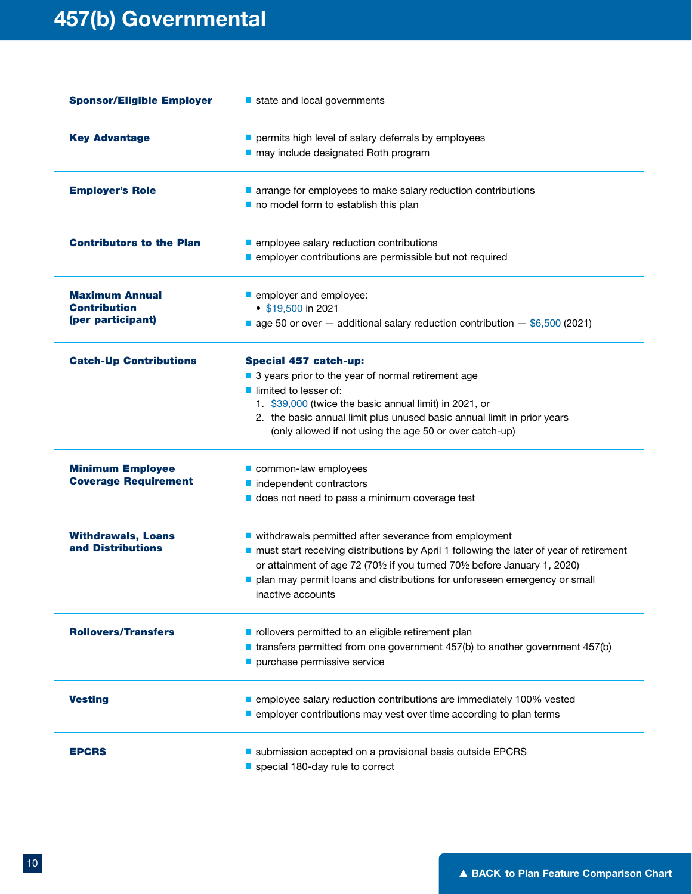| <b>Sponsor/Eligible Employer</b>                                  | state and local governments                                                                                                                                                                                                                                                                                                        |
|-------------------------------------------------------------------|------------------------------------------------------------------------------------------------------------------------------------------------------------------------------------------------------------------------------------------------------------------------------------------------------------------------------------|
| <b>Key Advantage</b>                                              | permits high level of salary deferrals by employees<br>may include designated Roth program                                                                                                                                                                                                                                         |
| <b>Employer's Role</b>                                            | arrange for employees to make salary reduction contributions<br>no model form to establish this plan                                                                                                                                                                                                                               |
| <b>Contributors to the Plan</b>                                   | employee salary reduction contributions<br>employer contributions are permissible but not required                                                                                                                                                                                                                                 |
| <b>Maximum Annual</b><br><b>Contribution</b><br>(per participant) | employer and employee:<br>$\bullet$ \$19,500 in 2021<br>■ age 50 or over $-$ additional salary reduction contribution $-$ \$6,500 (2021)                                                                                                                                                                                           |
| <b>Catch-Up Contributions</b>                                     | <b>Special 457 catch-up:</b><br>■ 3 years prior to the year of normal retirement age<br>lacktriangleright limited to lesser of:<br>1. \$39,000 (twice the basic annual limit) in 2021, or<br>2. the basic annual limit plus unused basic annual limit in prior years<br>(only allowed if not using the age 50 or over catch-up)    |
| <b>Minimum Employee</b><br><b>Coverage Requirement</b>            | common-law employees<br>nidependent contractors<br>does not need to pass a minimum coverage test                                                                                                                                                                                                                                   |
| <b>Withdrawals, Loans</b><br>and Distributions                    | ■ withdrawals permitted after severance from employment<br>nust start receiving distributions by April 1 following the later of year of retirement<br>or attainment of age 72 (701/2 if you turned 701/2 before January 1, 2020)<br>plan may permit loans and distributions for unforeseen emergency or small<br>inactive accounts |
| <b>Rollovers/Transfers</b>                                        | rollovers permitted to an eligible retirement plan<br>■ transfers permitted from one government 457(b) to another government 457(b)<br>purchase permissive service                                                                                                                                                                 |
| <b>Vesting</b>                                                    | employee salary reduction contributions are immediately 100% vested<br>employer contributions may vest over time according to plan terms                                                                                                                                                                                           |
| <b>EPCRS</b>                                                      | submission accepted on a provisional basis outside EPCRS<br>special 180-day rule to correct                                                                                                                                                                                                                                        |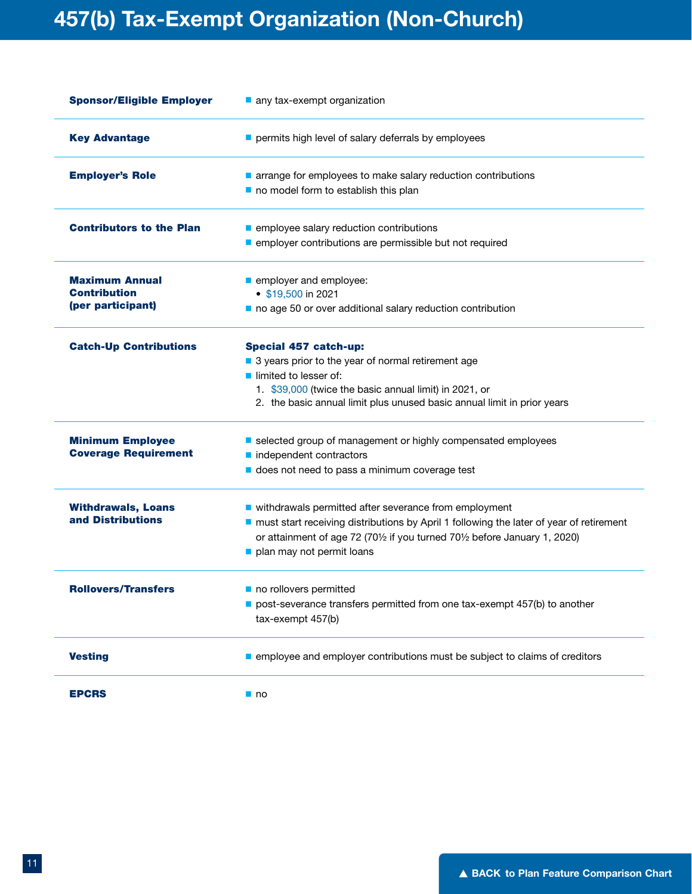### 457(b) Tax-Exempt Organization (Non-Church)

| <b>Sponsor/Eligible Employer</b>                                  | any tax-exempt organization                                                                                                                                                                                                                                   |
|-------------------------------------------------------------------|---------------------------------------------------------------------------------------------------------------------------------------------------------------------------------------------------------------------------------------------------------------|
| <b>Key Advantage</b>                                              | permits high level of salary deferrals by employees                                                                                                                                                                                                           |
| <b>Employer's Role</b>                                            | arrange for employees to make salary reduction contributions<br>no model form to establish this plan                                                                                                                                                          |
| <b>Contributors to the Plan</b>                                   | employee salary reduction contributions<br>employer contributions are permissible but not required                                                                                                                                                            |
| <b>Maximum Annual</b><br><b>Contribution</b><br>(per participant) | employer and employee:<br>$\bullet$ \$19,500 in 2021<br>no age 50 or over additional salary reduction contribution                                                                                                                                            |
| <b>Catch-Up Contributions</b>                                     | <b>Special 457 catch-up:</b><br>■ 3 years prior to the year of normal retirement age<br>limited to lesser of:<br>1. \$39,000 (twice the basic annual limit) in 2021, or<br>2. the basic annual limit plus unused basic annual limit in prior years            |
| <b>Minimum Employee</b><br><b>Coverage Requirement</b>            | selected group of management or highly compensated employees<br>nidependent contractors<br>does not need to pass a minimum coverage test                                                                                                                      |
| <b>Withdrawals, Loans</b><br>and Distributions                    | ■ withdrawals permitted after severance from employment<br>nust start receiving distributions by April 1 following the later of year of retirement<br>or attainment of age 72 (701/2 if you turned 701/2 before January 1, 2020)<br>plan may not permit loans |
| <b>Rollovers/Transfers</b>                                        | no rollovers permitted<br>post-severance transfers permitted from one tax-exempt 457(b) to another<br>tax-exempt 457(b)                                                                                                                                       |
| <b>Vesting</b>                                                    | employee and employer contributions must be subject to claims of creditors                                                                                                                                                                                    |
| <b>EPCRS</b>                                                      | $\blacksquare$ no                                                                                                                                                                                                                                             |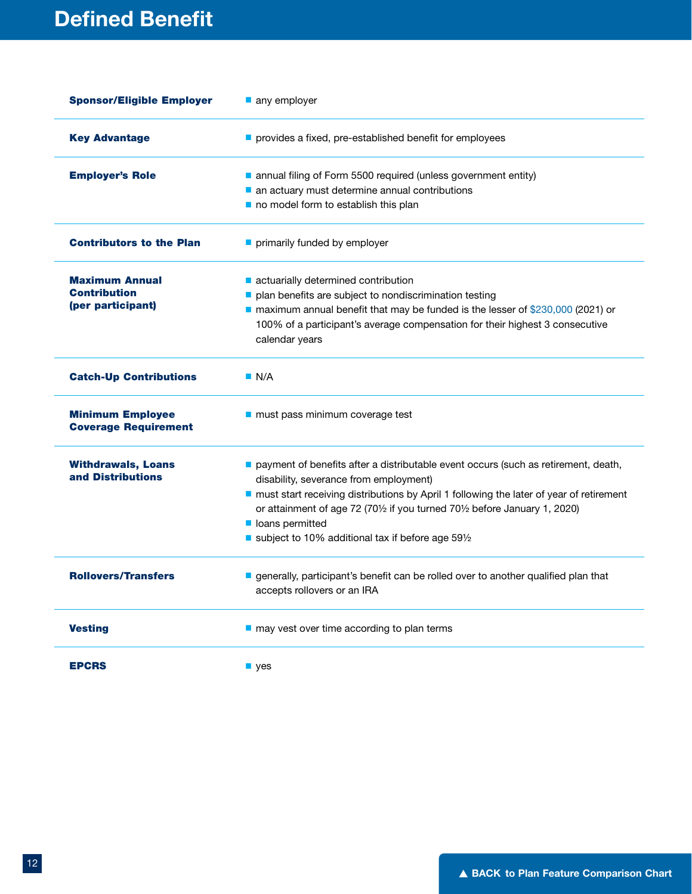| <b>Sponsor/Eligible Employer</b>                       | any employer                                                                                   |  |
|--------------------------------------------------------|------------------------------------------------------------------------------------------------|--|
| <b>Key Advantage</b>                                   | provides a fixed, pre-established benefit for employees                                        |  |
| <b>Employer's Role</b>                                 | annual filing of Form 5500 required (unless government entity)                                 |  |
|                                                        | an actuary must determine annual contributions                                                 |  |
|                                                        | no model form to establish this plan                                                           |  |
| <b>Contributors to the Plan</b>                        | primarily funded by employer                                                                   |  |
| <b>Maximum Annual</b>                                  | actuarially determined contribution                                                            |  |
| <b>Contribution</b>                                    | plan benefits are subject to nondiscrimination testing                                         |  |
| (per participant)                                      | ■ maximum annual benefit that may be funded is the lesser of \$230,000 (2021) or               |  |
|                                                        | 100% of a participant's average compensation for their highest 3 consecutive<br>calendar years |  |
| <b>Catch-Up Contributions</b>                          | $\blacksquare$ N/A                                                                             |  |
| <b>Minimum Employee</b><br><b>Coverage Requirement</b> | ■ must pass minimum coverage test                                                              |  |
| <b>Withdrawals, Loans</b>                              | payment of benefits after a distributable event occurs (such as retirement, death,             |  |
| and Distributions                                      | disability, severance from employment)                                                         |  |
|                                                        | nust start receiving distributions by April 1 following the later of year of retirement        |  |
|                                                        | or attainment of age 72 (701/2 if you turned 701/2 before January 1, 2020)                     |  |
|                                                        | loans permitted<br>subject to 10% additional tax if before age 591/2                           |  |
|                                                        |                                                                                                |  |
| <b>Rollovers/Transfers</b>                             | generally, participant's benefit can be rolled over to another qualified plan that             |  |
|                                                        | accepts rollovers or an IRA                                                                    |  |
| <b>Vesting</b>                                         | $\blacksquare$ may vest over time according to plan terms                                      |  |
| <b>EPCRS</b>                                           | $\blacksquare$ yes                                                                             |  |